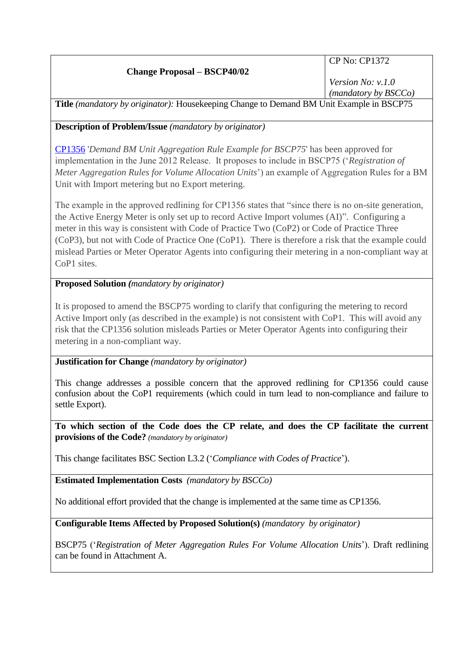## **Change Proposal – BSCP40/02**

CP No: CP1372

*Version No: v.1.0 (mandatory by BSCCo)*

**Title** *(mandatory by originator):* Housekeeping Change to Demand BM Unit Example in BSCP75

## **Description of Problem/Issue** *(mandatory by originator)*

[CP1356](http://www.elexon.co.uk/change-proposal/cp1356-demand-bm-unit-aggregation-rule-example-for-bscp75/) '*Demand BM Unit Aggregation Rule Example for BSCP75*' has been approved for implementation in the June 2012 Release. It proposes to include in BSCP75 ('*Registration of Meter Aggregation Rules for Volume Allocation Units*') an example of Aggregation Rules for a BM Unit with Import metering but no Export metering.

The example in the approved redlining for CP1356 states that "since there is no on-site generation, the Active Energy Meter is only set up to record Active Import volumes (AI)". Configuring a meter in this way is consistent with Code of Practice Two (CoP2) or Code of Practice Three (CoP3), but not with Code of Practice One (CoP1). There is therefore a risk that the example could mislead Parties or Meter Operator Agents into configuring their metering in a non-compliant way at CoP1 sites.

## **Proposed Solution** *(mandatory by originator)*

It is proposed to amend the BSCP75 wording to clarify that configuring the metering to record Active Import only (as described in the example) is not consistent with CoP1. This will avoid any risk that the CP1356 solution misleads Parties or Meter Operator Agents into configuring their metering in a non-compliant way.

## **Justification for Change** *(mandatory by originator)*

This change addresses a possible concern that the approved redlining for CP1356 could cause confusion about the CoP1 requirements (which could in turn lead to non-compliance and failure to settle Export).

**To which section of the Code does the CP relate, and does the CP facilitate the current provisions of the Code?** *(mandatory by originator)*

This change facilitates BSC Section L3.2 ('*Compliance with Codes of Practice*').

**Estimated Implementation Costs** *(mandatory by BSCCo)*

No additional effort provided that the change is implemented at the same time as CP1356.

**Configurable Items Affected by Proposed Solution(s)** *(mandatory by originator)*

BSCP75 ('*Registration of Meter Aggregation Rules For Volume Allocation Units*'). Draft redlining can be found in Attachment A.